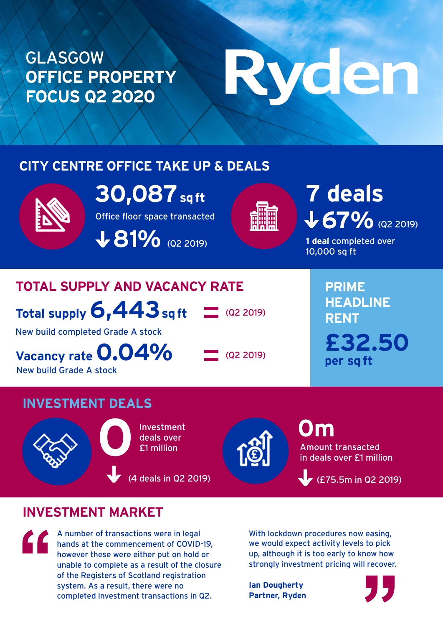## GLASGOW **OFFICE PROPERTY FOCUS Q2 2020**

# Ryden

#### **CITY CENTRE OFFICE TAKE UP & DEALS**



Office floor space transacted **30,087 sq ft**

 $\bigvee$  **81%** (Q2 2019)



# 67% (Q2 2019) **7 deals**

**1 deal** completed over 10,000 sq ft

### **TOTAL SUPPLY AND VACANCY RATE**

**Total supply 6,443 sq ft**

 $(Q2 2019)$ 

New build completed Grade A stock

**Vacancy rate 0.04%**

New build Grade A stock

 $\Box$  (Q2 2019)

**PRIME HEADLINE RENT £32.50 per sq ft**

#### **INVESTMENT DEALS**





Amount transacted in deals over £1 million **0m**

(£75.5m in Q2 2019)

#### **INVESTMENT MARKET**

A number of transactions were in legal hands at the commencement of COVID-19, however these were either put on hold or unable to complete as a result of the closure of the Registers of Scotland registration system. As a result, there were no completed investment transactions in Q2.

With lockdown procedures now easing, we would expect activity levels to pick up, although it is too early to know how strongly investment pricing will recover.

**Ian Dougherty Partner, Ryden**